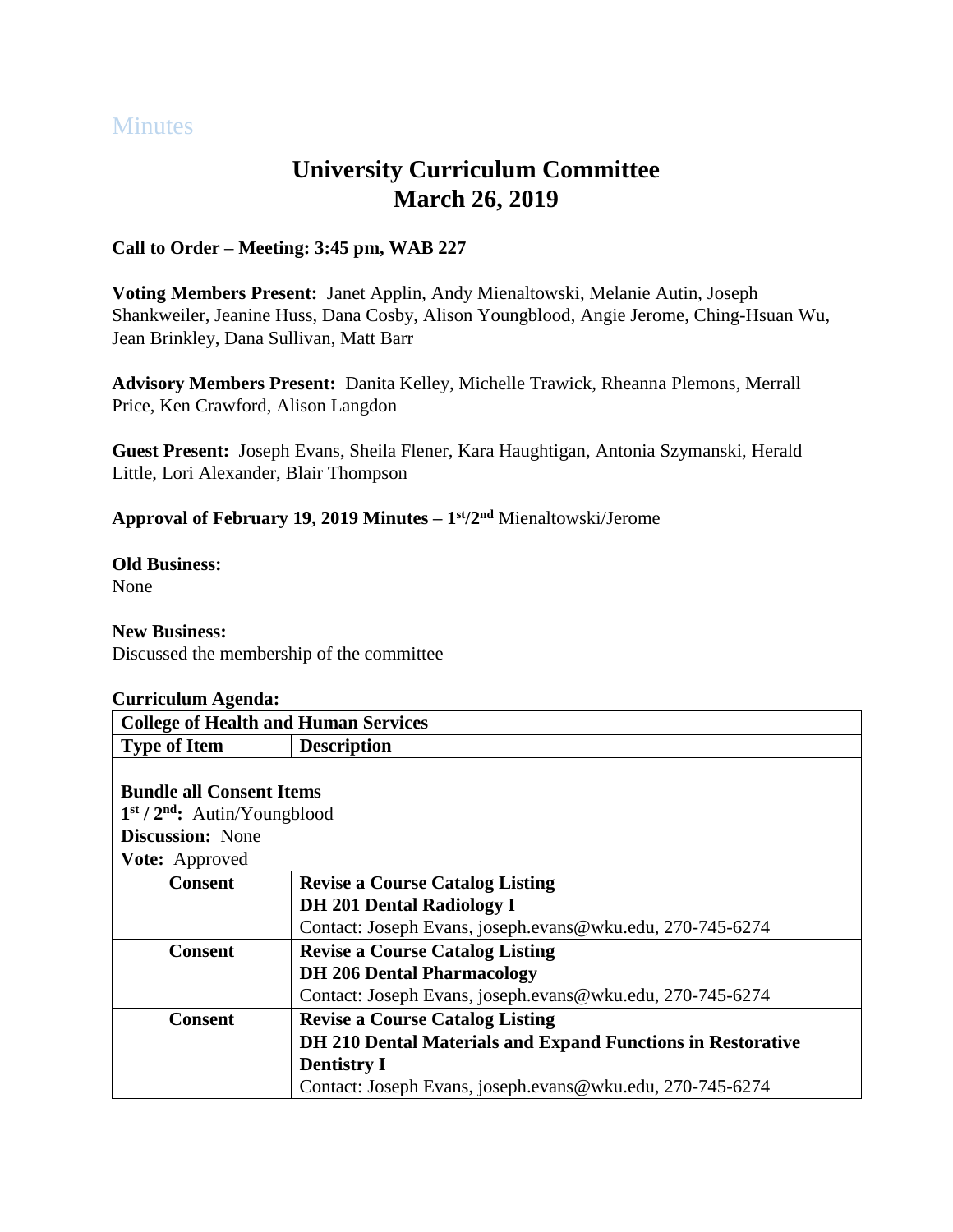# **Minutes**

# **University Curriculum Committee March 26, 2019**

## **Call to Order – Meeting: 3:45 pm, WAB 227**

**Voting Members Present:** Janet Applin, Andy Mienaltowski, Melanie Autin, Joseph Shankweiler, Jeanine Huss, Dana Cosby, Alison Youngblood, Angie Jerome, Ching-Hsuan Wu, Jean Brinkley, Dana Sullivan, Matt Barr

**Advisory Members Present:** Danita Kelley, Michelle Trawick, Rheanna Plemons, Merrall Price, Ken Crawford, Alison Langdon

**Guest Present:** Joseph Evans, Sheila Flener, Kara Haughtigan, Antonia Szymanski, Herald Little, Lori Alexander, Blair Thompson

**Approval of February 19, 2019 Minutes – 1 st/2 nd** Mienaltowski/Jerome

**Old Business:** None

#### **New Business:**

Discussed the membership of the committee

| Curriculum Agenda:                          |                                                             |
|---------------------------------------------|-------------------------------------------------------------|
| <b>College of Health and Human Services</b> |                                                             |
| <b>Type of Item</b>                         | <b>Description</b>                                          |
|                                             |                                                             |
| <b>Bundle all Consent Items</b>             |                                                             |
| $1st / 2nd$ : Autin/Youngblood              |                                                             |
| <b>Discussion:</b> None                     |                                                             |
| <b>Vote:</b> Approved                       |                                                             |
| <b>Consent</b>                              | <b>Revise a Course Catalog Listing</b>                      |
|                                             | <b>DH 201 Dental Radiology I</b>                            |
|                                             | Contact: Joseph Evans, joseph.evans@wku.edu, 270-745-6274   |
| Consent                                     | <b>Revise a Course Catalog Listing</b>                      |
|                                             | <b>DH 206 Dental Pharmacology</b>                           |
|                                             | Contact: Joseph Evans, joseph.evans@wku.edu, 270-745-6274   |
| <b>Consent</b>                              | <b>Revise a Course Catalog Listing</b>                      |
|                                             | DH 210 Dental Materials and Expand Functions in Restorative |
|                                             | <b>Dentistry I</b>                                          |
|                                             | Contact: Joseph Evans, joseph.evans@wku.edu, 270-745-6274   |

# **Curriculum Agenda:**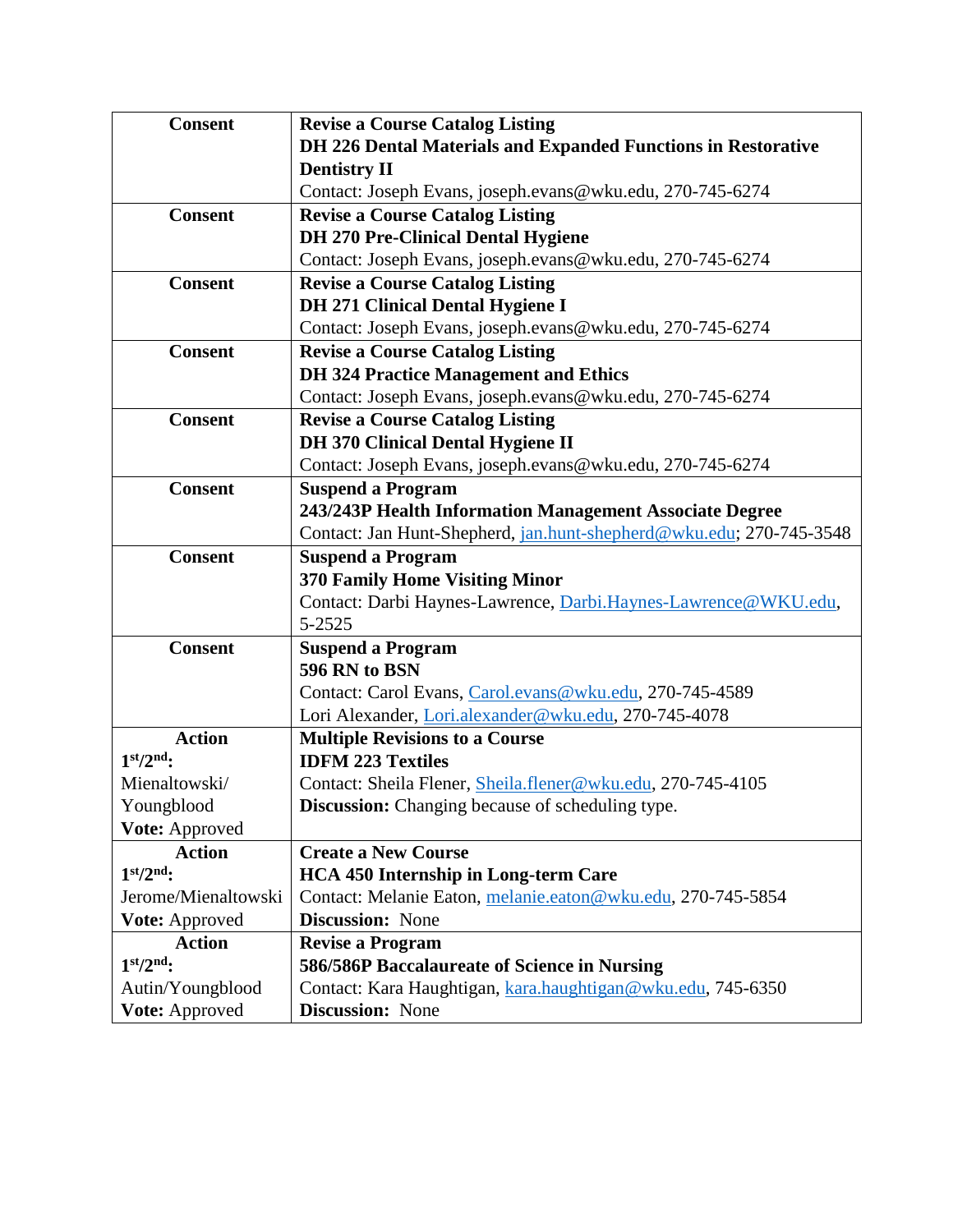| <b>Consent</b>      | <b>Revise a Course Catalog Listing</b>                              |
|---------------------|---------------------------------------------------------------------|
|                     | DH 226 Dental Materials and Expanded Functions in Restorative       |
|                     | <b>Dentistry II</b>                                                 |
|                     | Contact: Joseph Evans, joseph.evans@wku.edu, 270-745-6274           |
| <b>Consent</b>      | <b>Revise a Course Catalog Listing</b>                              |
|                     | <b>DH 270 Pre-Clinical Dental Hygiene</b>                           |
|                     | Contact: Joseph Evans, joseph.evans@wku.edu, 270-745-6274           |
| <b>Consent</b>      | <b>Revise a Course Catalog Listing</b>                              |
|                     | <b>DH 271 Clinical Dental Hygiene I</b>                             |
|                     | Contact: Joseph Evans, joseph.evans@wku.edu, 270-745-6274           |
| <b>Consent</b>      | <b>Revise a Course Catalog Listing</b>                              |
|                     | <b>DH 324 Practice Management and Ethics</b>                        |
|                     | Contact: Joseph Evans, joseph.evans@wku.edu, 270-745-6274           |
| <b>Consent</b>      | <b>Revise a Course Catalog Listing</b>                              |
|                     | <b>DH 370 Clinical Dental Hygiene II</b>                            |
|                     | Contact: Joseph Evans, joseph.evans@wku.edu, 270-745-6274           |
| <b>Consent</b>      | <b>Suspend a Program</b>                                            |
|                     | 243/243P Health Information Management Associate Degree             |
|                     | Contact: Jan Hunt-Shepherd, jan.hunt-shepherd@wku.edu; 270-745-3548 |
| <b>Consent</b>      | <b>Suspend a Program</b>                                            |
|                     | <b>370 Family Home Visiting Minor</b>                               |
|                     | Contact: Darbi Haynes-Lawrence, Darbi.Haynes-Lawrence@WKU.edu,      |
|                     | 5-2525                                                              |
| <b>Consent</b>      | <b>Suspend a Program</b>                                            |
|                     | 596 RN to BSN                                                       |
|                     | Contact: Carol Evans, Carol.evans@wku.edu, 270-745-4589             |
|                     | Lori Alexander, Lori.alexander@wku.edu, 270-745-4078                |
| <b>Action</b>       | <b>Multiple Revisions to a Course</b>                               |
| $1st/2nd$ :         | <b>IDFM 223 Textiles</b>                                            |
| Mienaltowski/       | Contact: Sheila Flener, Sheila.flener@wku.edu, 270-745-4105         |
| Youngblood          | Discussion: Changing because of scheduling type.                    |
| Vote: Approved      |                                                                     |
| <b>Action</b>       | <b>Create a New Course</b>                                          |
| $1st/2nd$ :         | <b>HCA 450 Internship in Long-term Care</b>                         |
| Jerome/Mienaltowski | Contact: Melanie Eaton, melanie.eaton@wku.edu, 270-745-5854         |
| Vote: Approved      | <b>Discussion:</b> None                                             |
| <b>Action</b>       | <b>Revise a Program</b>                                             |
| $1st/2nd$ :         | 586/586P Baccalaureate of Science in Nursing                        |
| Autin/Youngblood    | Contact: Kara Haughtigan, kara.haughtigan@wku.edu, 745-6350         |
| Vote: Approved      | <b>Discussion: None</b>                                             |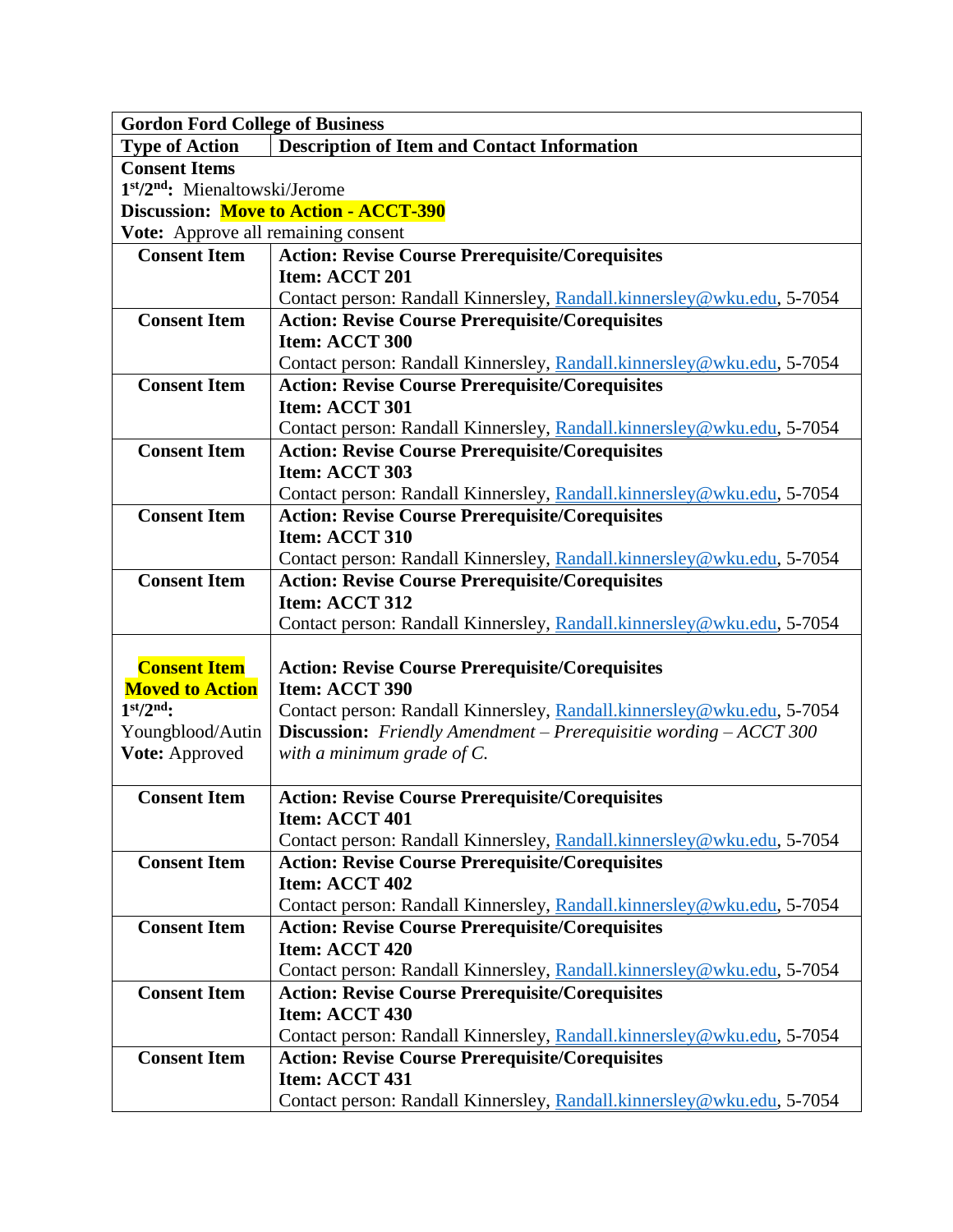| <b>Gordon Ford College of Business</b>     |                                                                            |
|--------------------------------------------|----------------------------------------------------------------------------|
| <b>Type of Action</b>                      | <b>Description of Item and Contact Information</b>                         |
| <b>Consent Items</b>                       |                                                                            |
| 1st/2 <sup>nd</sup> : Mienaltowski/Jerome  |                                                                            |
|                                            | <b>Discussion: Move to Action - ACCT-390</b>                               |
| <b>Vote:</b> Approve all remaining consent |                                                                            |
| <b>Consent Item</b>                        | <b>Action: Revise Course Prerequisite/Corequisites</b>                     |
|                                            | Item: ACCT 201                                                             |
|                                            | Contact person: Randall Kinnersley, Randall.kinnersley@wku.edu, 5-7054     |
| <b>Consent Item</b>                        | <b>Action: Revise Course Prerequisite/Corequisites</b>                     |
|                                            | Item: ACCT 300                                                             |
|                                            | Contact person: Randall Kinnersley, Randall.kinnersley@wku.edu, 5-7054     |
| <b>Consent Item</b>                        | <b>Action: Revise Course Prerequisite/Corequisites</b>                     |
|                                            | Item: ACCT 301                                                             |
|                                            | Contact person: Randall Kinnersley, Randall.kinnersley@wku.edu, 5-7054     |
| <b>Consent Item</b>                        | <b>Action: Revise Course Prerequisite/Corequisites</b>                     |
|                                            | Item: ACCT 303                                                             |
|                                            | Contact person: Randall Kinnersley, Randall.kinnersley@wku.edu, 5-7054     |
| <b>Consent Item</b>                        | <b>Action: Revise Course Prerequisite/Corequisites</b>                     |
|                                            | Item: ACCT 310                                                             |
|                                            | Contact person: Randall Kinnersley, Randall.kinnersley@wku.edu, 5-7054     |
| <b>Consent Item</b>                        | <b>Action: Revise Course Prerequisite/Corequisites</b>                     |
|                                            | Item: ACCT 312                                                             |
|                                            | Contact person: Randall Kinnersley, Randall.kinnersley@wku.edu, 5-7054     |
| <b>Consent Item</b>                        |                                                                            |
| <b>Moved to Action</b>                     | <b>Action: Revise Course Prerequisite/Corequisites</b><br>Item: ACCT 390   |
| $1st/2nd$ :                                | Contact person: Randall Kinnersley, Randall.kinnersley@wku.edu, 5-7054     |
| Youngblood/Autin                           | <b>Discussion:</b> Friendly Amendment – Prerequisitie wording $-$ ACCT 300 |
| Vote: Approved                             | with a minimum grade of $C$ .                                              |
|                                            |                                                                            |
| <b>Consent Item</b>                        | <b>Action: Revise Course Prerequisite/Corequisites</b>                     |
|                                            | Item: ACCT 401                                                             |
|                                            | Contact person: Randall Kinnersley, Randall.kinnersley@wku.edu, 5-7054     |
| <b>Consent Item</b>                        | <b>Action: Revise Course Prerequisite/Corequisites</b>                     |
|                                            | Item: ACCT 402                                                             |
|                                            | Contact person: Randall Kinnersley, Randall.kinnersley@wku.edu, 5-7054     |
| <b>Consent Item</b>                        | <b>Action: Revise Course Prerequisite/Corequisites</b>                     |
|                                            | Item: ACCT 420                                                             |
|                                            | Contact person: Randall Kinnersley, Randall.kinnersley@wku.edu, 5-7054     |
| <b>Consent Item</b>                        | <b>Action: Revise Course Prerequisite/Corequisites</b>                     |
|                                            | Item: ACCT 430                                                             |
|                                            | Contact person: Randall Kinnersley, Randall.kinnersley@wku.edu, 5-7054     |
| <b>Consent Item</b>                        | <b>Action: Revise Course Prerequisite/Corequisites</b>                     |
|                                            | Item: ACCT 431                                                             |
|                                            | Contact person: Randall Kinnersley, Randall.kinnersley@wku.edu, 5-7054     |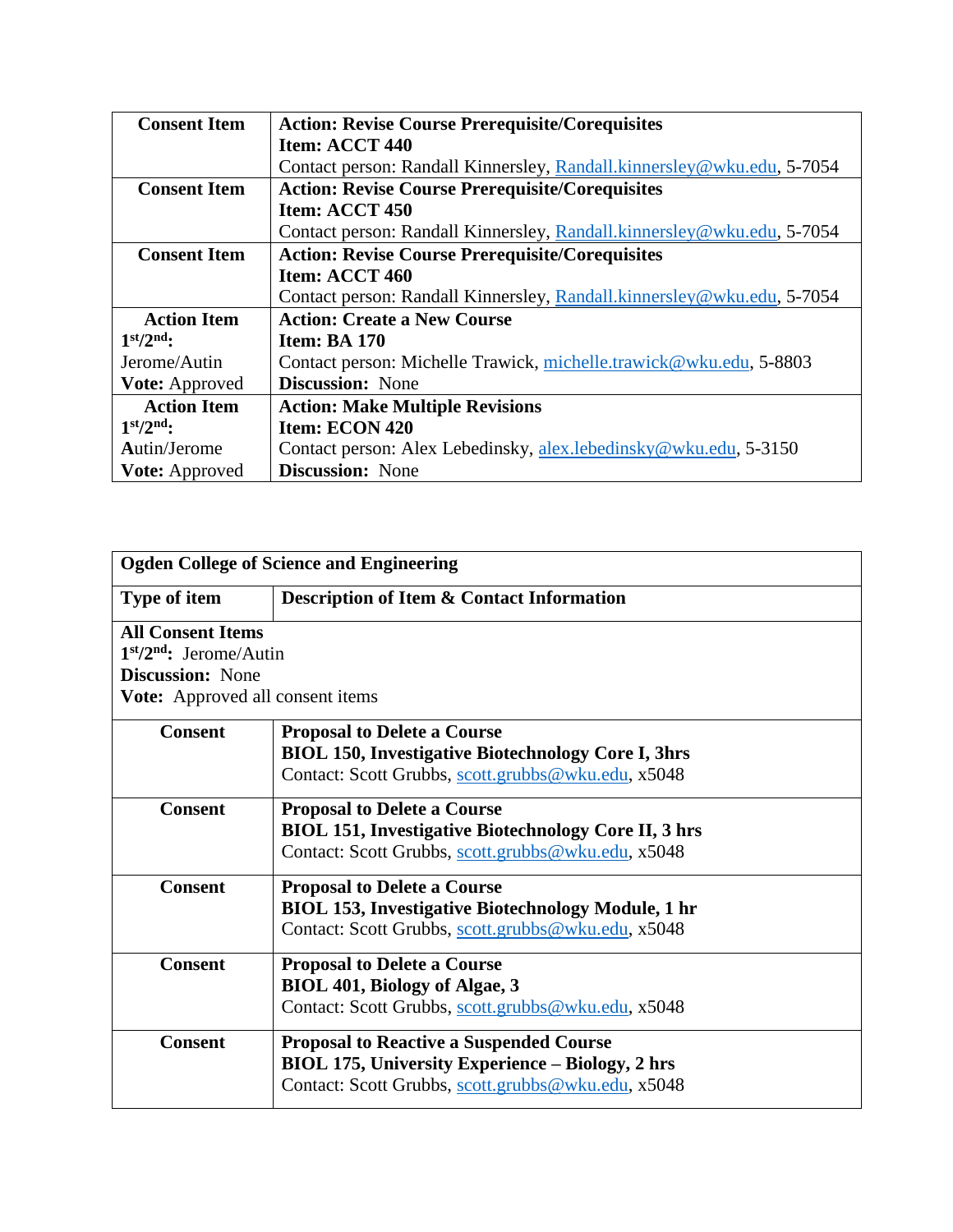| <b>Consent Item</b>   | <b>Action: Revise Course Prerequisite/Corequisites</b>                 |
|-----------------------|------------------------------------------------------------------------|
|                       | Item: ACCT 440                                                         |
|                       | Contact person: Randall Kinnersley, Randall.kinnersley@wku.edu, 5-7054 |
| <b>Consent Item</b>   | <b>Action: Revise Course Prerequisite/Corequisites</b>                 |
|                       | Item: ACCT 450                                                         |
|                       | Contact person: Randall Kinnersley, Randall.kinnersley@wku.edu, 5-7054 |
| <b>Consent Item</b>   | <b>Action: Revise Course Prerequisite/Corequisites</b>                 |
|                       | Item: ACCT 460                                                         |
|                       | Contact person: Randall Kinnersley, Randall.kinnersley@wku.edu, 5-7054 |
| <b>Action Item</b>    | <b>Action: Create a New Course</b>                                     |
| $1st/2nd$ :           | <b>Item: BA 170</b>                                                    |
| Jerome/Autin          | Contact person: Michelle Trawick, michelle.trawick@wku.edu, 5-8803     |
| <b>Vote: Approved</b> | <b>Discussion:</b> None                                                |
| <b>Action Item</b>    | <b>Action: Make Multiple Revisions</b>                                 |
| $1st/2nd$ :           | Item: ECON 420                                                         |
| Autin/Jerome          | Contact person: Alex Lebedinsky, alex lebedinsky@wku.edu, 5-3150       |
| <b>Vote:</b> Approved | <b>Discussion:</b> None                                                |

| <b>Ogden College of Science and Engineering</b>                                                                            |                                                                                                                                                          |
|----------------------------------------------------------------------------------------------------------------------------|----------------------------------------------------------------------------------------------------------------------------------------------------------|
| Type of item                                                                                                               | <b>Description of Item &amp; Contact Information</b>                                                                                                     |
| <b>All Consent Items</b><br>$1st/2nd$ : Jerome/Autin<br><b>Discussion:</b> None<br><b>Vote:</b> Approved all consent items |                                                                                                                                                          |
| <b>Consent</b>                                                                                                             | <b>Proposal to Delete a Course</b><br><b>BIOL 150, Investigative Biotechnology Core I, 3hrs</b><br>Contact: Scott Grubbs, scott.grubbs@wku.edu, x5048    |
| <b>Consent</b>                                                                                                             | <b>Proposal to Delete a Course</b><br><b>BIOL 151, Investigative Biotechnology Core II, 3 hrs</b><br>Contact: Scott Grubbs, scott.grubbs@wku.edu, x5048  |
| <b>Consent</b>                                                                                                             | <b>Proposal to Delete a Course</b><br><b>BIOL 153, Investigative Biotechnology Module, 1 hr</b><br>Contact: Scott Grubbs, scott.grubbs@wku.edu, x5048    |
| <b>Consent</b>                                                                                                             | <b>Proposal to Delete a Course</b><br><b>BIOL 401, Biology of Algae, 3</b><br>Contact: Scott Grubbs, scott.grubbs@wku.edu, x5048                         |
| <b>Consent</b>                                                                                                             | <b>Proposal to Reactive a Suspended Course</b><br>BIOL 175, University Experience - Biology, 2 hrs<br>Contact: Scott Grubbs, scott.grubbs@wku.edu, x5048 |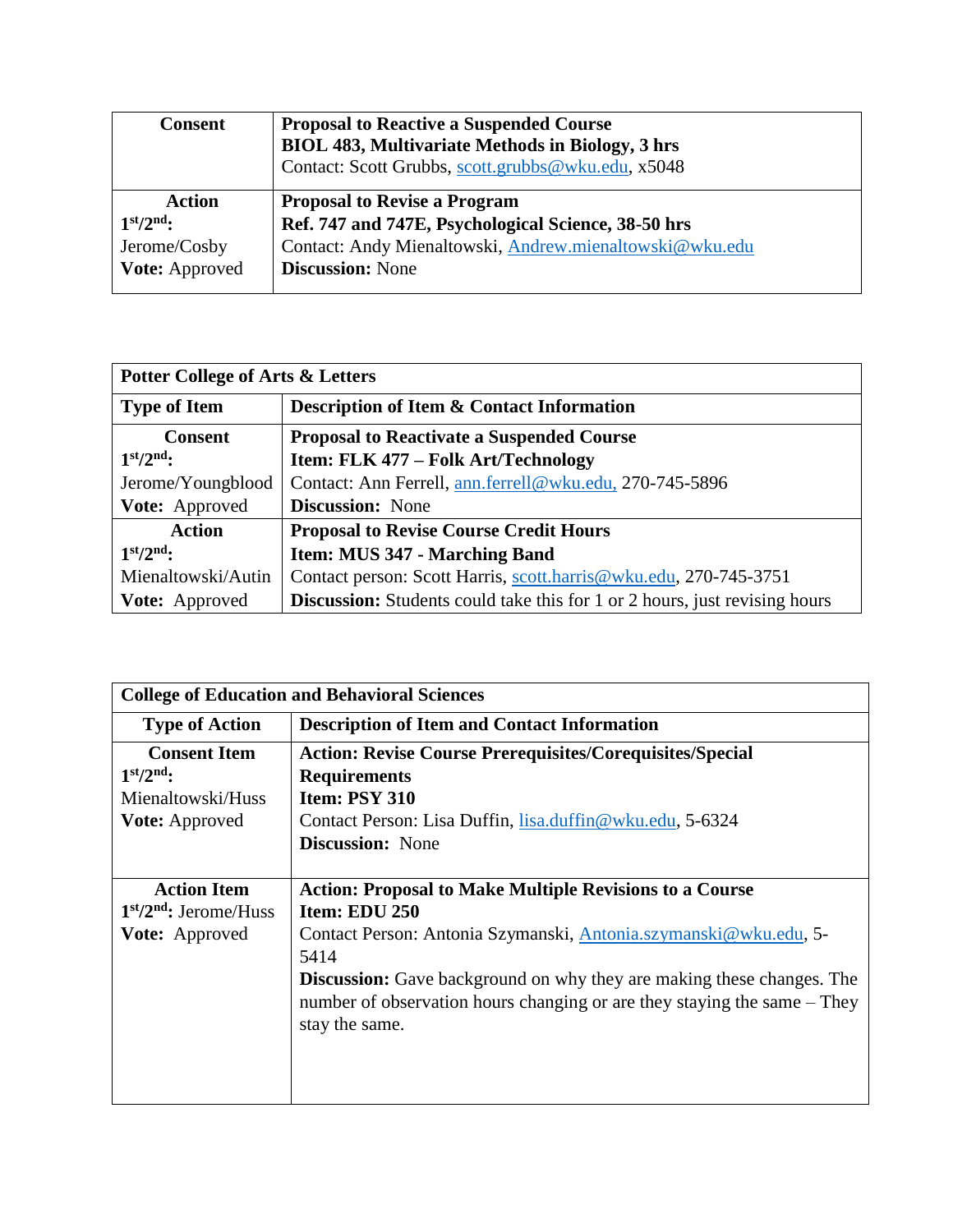| <b>Consent</b> | <b>Proposal to Reactive a Suspended Course</b><br><b>BIOL 483, Multivariate Methods in Biology, 3 hrs</b><br>Contact: Scott Grubbs, scott.grubbs@wku.edu, x5048 |
|----------------|-----------------------------------------------------------------------------------------------------------------------------------------------------------------|
| <b>Action</b>  | <b>Proposal to Revise a Program</b>                                                                                                                             |
| $1st/2nd$ :    | Ref. 747 and 747E, Psychological Science, 38-50 hrs                                                                                                             |
| Jerome/Cosby   | Contact: Andy Mienaltowski, Andrew.mienaltowski@wku.edu                                                                                                         |
| Vote: Approved | <b>Discussion: None</b>                                                                                                                                         |

| <b>Potter College of Arts &amp; Letters</b> |                                                                                   |
|---------------------------------------------|-----------------------------------------------------------------------------------|
| <b>Type of Item</b>                         | <b>Description of Item &amp; Contact Information</b>                              |
| <b>Consent</b>                              | <b>Proposal to Reactivate a Suspended Course</b>                                  |
| $1st/2nd$ :                                 | Item: FLK 477 – Folk Art/Technology                                               |
| Jerome/Youngblood                           | Contact: Ann Ferrell, ann.ferrell@wku.edu, 270-745-5896                           |
| Vote: Approved                              | <b>Discussion:</b> None                                                           |
| <b>Action</b>                               | <b>Proposal to Revise Course Credit Hours</b>                                     |
| $1st/2nd$ :                                 | Item: MUS 347 - Marching Band                                                     |
| Mienaltowski/Autin                          | Contact person: Scott Harris, scott.harris@wku.edu, 270-745-3751                  |
| Vote: Approved                              | <b>Discussion:</b> Students could take this for 1 or 2 hours, just revising hours |

| <b>College of Education and Behavioral Sciences</b>                       |                                                                                                                                                                                                                                                                                                                                           |
|---------------------------------------------------------------------------|-------------------------------------------------------------------------------------------------------------------------------------------------------------------------------------------------------------------------------------------------------------------------------------------------------------------------------------------|
| <b>Type of Action</b>                                                     | <b>Description of Item and Contact Information</b>                                                                                                                                                                                                                                                                                        |
| <b>Consent Item</b><br>$1st/2nd$ :<br>Mienaltowski/Huss<br>Vote: Approved | <b>Action: Revise Course Prerequisites/Corequisites/Special</b><br><b>Requirements</b><br><b>Item: PSY 310</b><br>Contact Person: Lisa Duffin, lisa.duffin@wku.edu, 5-6324<br><b>Discussion:</b> None                                                                                                                                     |
| <b>Action Item</b><br>$1st/2nd$ : Jerome/Huss<br><b>Vote:</b> Approved    | <b>Action: Proposal to Make Multiple Revisions to a Course</b><br>Item: EDU 250<br>Contact Person: Antonia Szymanski, Antonia.szymanski@wku.edu, 5-<br>5414<br><b>Discussion:</b> Gave background on why they are making these changes. The<br>number of observation hours changing or are they staying the same – They<br>stay the same. |